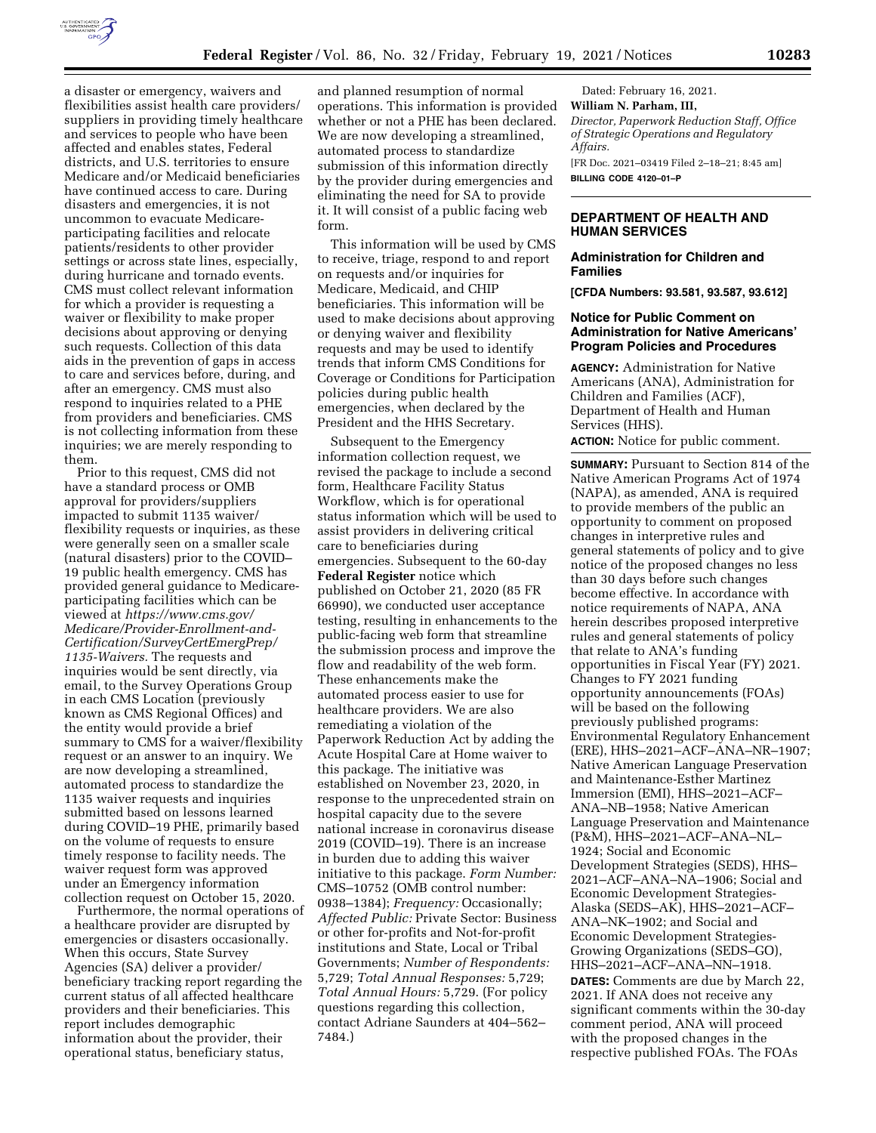

a disaster or emergency, waivers and flexibilities assist health care providers/ suppliers in providing timely healthcare and services to people who have been affected and enables states, Federal districts, and U.S. territories to ensure Medicare and/or Medicaid beneficiaries have continued access to care. During disasters and emergencies, it is not uncommon to evacuate Medicareparticipating facilities and relocate patients/residents to other provider settings or across state lines, especially, during hurricane and tornado events. CMS must collect relevant information for which a provider is requesting a waiver or flexibility to make proper decisions about approving or denying such requests. Collection of this data aids in the prevention of gaps in access to care and services before, during, and after an emergency. CMS must also respond to inquiries related to a PHE from providers and beneficiaries. CMS is not collecting information from these inquiries; we are merely responding to them.

Prior to this request, CMS did not have a standard process or OMB approval for providers/suppliers impacted to submit 1135 waiver/ flexibility requests or inquiries, as these were generally seen on a smaller scale (natural disasters) prior to the COVID– 19 public health emergency. CMS has provided general guidance to Medicareparticipating facilities which can be viewed at *[https://www.cms.gov/](https://www.cms.gov/Medicare/Provider-Enrollment-and-Certification/SurveyCertEmergPrep/1135-Waivers)  [Medicare/Provider-Enrollment-and-](https://www.cms.gov/Medicare/Provider-Enrollment-and-Certification/SurveyCertEmergPrep/1135-Waivers)[Certification/SurveyCertEmergPrep/](https://www.cms.gov/Medicare/Provider-Enrollment-and-Certification/SurveyCertEmergPrep/1135-Waivers)  [1135-Waivers.](https://www.cms.gov/Medicare/Provider-Enrollment-and-Certification/SurveyCertEmergPrep/1135-Waivers)* The requests and inquiries would be sent directly, via email, to the Survey Operations Group in each CMS Location (previously known as CMS Regional Offices) and the entity would provide a brief summary to CMS for a waiver/flexibility request or an answer to an inquiry. We are now developing a streamlined, automated process to standardize the 1135 waiver requests and inquiries submitted based on lessons learned during COVID–19 PHE, primarily based on the volume of requests to ensure timely response to facility needs. The waiver request form was approved under an Emergency information collection request on October 15, 2020.

Furthermore, the normal operations of a healthcare provider are disrupted by emergencies or disasters occasionally. When this occurs, State Survey Agencies (SA) deliver a provider/ beneficiary tracking report regarding the current status of all affected healthcare providers and their beneficiaries. This report includes demographic information about the provider, their operational status, beneficiary status,

and planned resumption of normal operations. This information is provided whether or not a PHE has been declared. We are now developing a streamlined, automated process to standardize submission of this information directly by the provider during emergencies and eliminating the need for SA to provide it. It will consist of a public facing web form.

This information will be used by CMS to receive, triage, respond to and report on requests and/or inquiries for Medicare, Medicaid, and CHIP beneficiaries. This information will be used to make decisions about approving or denying waiver and flexibility requests and may be used to identify trends that inform CMS Conditions for Coverage or Conditions for Participation policies during public health emergencies, when declared by the President and the HHS Secretary.

Subsequent to the Emergency information collection request, we revised the package to include a second form, Healthcare Facility Status Workflow, which is for operational status information which will be used to assist providers in delivering critical care to beneficiaries during emergencies. Subsequent to the 60-day **Federal Register** notice which published on October 21, 2020 (85 FR 66990), we conducted user acceptance testing, resulting in enhancements to the public-facing web form that streamline the submission process and improve the flow and readability of the web form. These enhancements make the automated process easier to use for healthcare providers. We are also remediating a violation of the Paperwork Reduction Act by adding the Acute Hospital Care at Home waiver to this package. The initiative was established on November 23, 2020, in response to the unprecedented strain on hospital capacity due to the severe national increase in coronavirus disease 2019 (COVID–19). There is an increase in burden due to adding this waiver initiative to this package. *Form Number:*  CMS–10752 (OMB control number: 0938–1384); *Frequency:* Occasionally; *Affected Public:* Private Sector: Business or other for-profits and Not-for-profit institutions and State, Local or Tribal Governments; *Number of Respondents:*  5,729; *Total Annual Responses:* 5,729; *Total Annual Hours:* 5,729. (For policy questions regarding this collection, contact Adriane Saunders at 404–562– 7484.)

Dated: February 16, 2021. **William N. Parham, III,**  *Director, Paperwork Reduction Staff, Office of Strategic Operations and Regulatory Affairs.*  [FR Doc. 2021–03419 Filed 2–18–21; 8:45 am] **BILLING CODE 4120–01–P** 

# **DEPARTMENT OF HEALTH AND HUMAN SERVICES**

# **Administration for Children and Families**

**[CFDA Numbers: 93.581, 93.587, 93.612]** 

# **Notice for Public Comment on Administration for Native Americans' Program Policies and Procedures**

**AGENCY:** Administration for Native Americans (ANA), Administration for Children and Families (ACF), Department of Health and Human Services (HHS).

**ACTION:** Notice for public comment.

**SUMMARY:** Pursuant to Section 814 of the Native American Programs Act of 1974 (NAPA), as amended, ANA is required to provide members of the public an opportunity to comment on proposed changes in interpretive rules and general statements of policy and to give notice of the proposed changes no less than 30 days before such changes become effective. In accordance with notice requirements of NAPA, ANA herein describes proposed interpretive rules and general statements of policy that relate to ANA's funding opportunities in Fiscal Year (FY) 2021. Changes to FY 2021 funding opportunity announcements (FOAs) will be based on the following previously published programs: Environmental Regulatory Enhancement (ERE), HHS–2021–ACF–ANA–NR–1907; Native American Language Preservation and Maintenance-Esther Martinez Immersion (EMI), HHS–2021–ACF– ANA–NB–1958; Native American Language Preservation and Maintenance (P&M), HHS–2021–ACF–ANA–NL– 1924; Social and Economic Development Strategies (SEDS), HHS– 2021–ACF–ANA–NA–1906; Social and Economic Development Strategies-Alaska (SEDS–AK), HHS–2021–ACF– ANA–NK–1902; and Social and Economic Development Strategies-Growing Organizations (SEDS–GO), HHS–2021–ACF–ANA–NN–1918. **DATES:** Comments are due by March 22, 2021. If ANA does not receive any significant comments within the 30-day comment period, ANA will proceed with the proposed changes in the respective published FOAs. The FOAs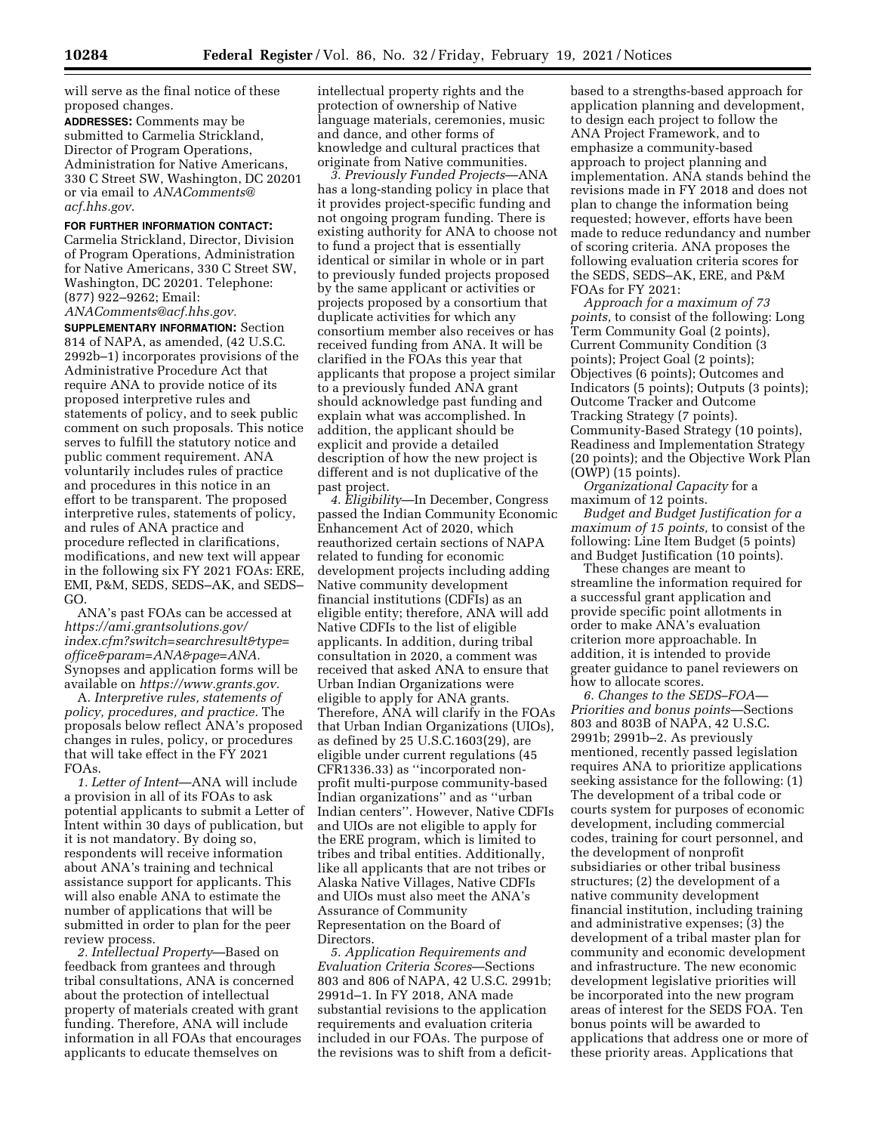will serve as the final notice of these proposed changes.

**ADDRESSES:** Comments may be submitted to Carmelia Strickland, Director of Program Operations, Administration for Native Americans, 330 C Street SW, Washington, DC 20201 or via email to *[ANAComments@](mailto:ANAComments@acf.hhs.gov) [acf.hhs.gov.](mailto:ANAComments@acf.hhs.gov)* 

# **FOR FURTHER INFORMATION CONTACT:**

Carmelia Strickland, Director, Division of Program Operations, Administration for Native Americans, 330 C Street SW, Washington, DC 20201. Telephone: (877) 922–9262; Email:

*[ANAComments@acf.hhs.gov.](mailto:ANAComments@acf.hhs.gov)* 

**SUPPLEMENTARY INFORMATION:** Section 814 of NAPA, as amended, (42 U.S.C. 2992b–1) incorporates provisions of the Administrative Procedure Act that require ANA to provide notice of its proposed interpretive rules and statements of policy, and to seek public comment on such proposals. This notice serves to fulfill the statutory notice and public comment requirement. ANA voluntarily includes rules of practice and procedures in this notice in an effort to be transparent. The proposed interpretive rules, statements of policy, and rules of ANA practice and procedure reflected in clarifications, modifications, and new text will appear in the following six FY 2021 FOAs: ERE, EMI, P&M, SEDS, SEDS–AK, and SEDS– GO.

ANA's past FOAs can be accessed at *[https://ami.grantsolutions.gov/](https://ami.grantsolutions.gov/index.cfm?switch=searchresult&type=office¶m=ANA&page=ANA) [index.cfm?switch=searchresult&type=](https://ami.grantsolutions.gov/index.cfm?switch=searchresult&type=office¶m=ANA&page=ANA) [office&param=ANA&page=ANA.](https://ami.grantsolutions.gov/index.cfm?switch=searchresult&type=office¶m=ANA&page=ANA)*  Synopses and application forms will be available on *[https://www.grants.gov.](https://www.grants.gov)* 

A. *Interpretive rules, statements of policy, procedures, and practice.* The proposals below reflect ANA's proposed changes in rules, policy, or procedures that will take effect in the FY 2021 FOAs.

*1. Letter of Intent*—ANA will include a provision in all of its FOAs to ask potential applicants to submit a Letter of Intent within 30 days of publication, but it is not mandatory. By doing so, respondents will receive information about ANA's training and technical assistance support for applicants. This will also enable ANA to estimate the number of applications that will be submitted in order to plan for the peer review process.

*2. Intellectual Property*—Based on feedback from grantees and through tribal consultations, ANA is concerned about the protection of intellectual property of materials created with grant funding. Therefore, ANA will include information in all FOAs that encourages applicants to educate themselves on

intellectual property rights and the protection of ownership of Native language materials, ceremonies, music and dance, and other forms of knowledge and cultural practices that originate from Native communities.

*3. Previously Funded Projects*—ANA has a long-standing policy in place that it provides project-specific funding and not ongoing program funding. There is existing authority for ANA to choose not to fund a project that is essentially identical or similar in whole or in part to previously funded projects proposed by the same applicant or activities or projects proposed by a consortium that duplicate activities for which any consortium member also receives or has received funding from ANA. It will be clarified in the FOAs this year that applicants that propose a project similar to a previously funded ANA grant should acknowledge past funding and explain what was accomplished. In addition, the applicant should be explicit and provide a detailed description of how the new project is different and is not duplicative of the past project.

*4. Eligibility*—In December, Congress passed the Indian Community Economic Enhancement Act of 2020, which reauthorized certain sections of NAPA related to funding for economic development projects including adding Native community development financial institutions (CDFIs) as an eligible entity; therefore, ANA will add Native CDFIs to the list of eligible applicants. In addition, during tribal consultation in 2020, a comment was received that asked ANA to ensure that Urban Indian Organizations were eligible to apply for ANA grants. Therefore, ANA will clarify in the FOAs that Urban Indian Organizations (UIOs), as defined by 25 U.S.C.1603(29), are eligible under current regulations (45 CFR1336.33) as ''incorporated nonprofit multi-purpose community-based Indian organizations'' and as ''urban Indian centers''. However, Native CDFIs and UIOs are not eligible to apply for the ERE program, which is limited to tribes and tribal entities. Additionally, like all applicants that are not tribes or Alaska Native Villages, Native CDFIs and UIOs must also meet the ANA's Assurance of Community Representation on the Board of Directors.

*5. Application Requirements and Evaluation Criteria Scores*—Sections 803 and 806 of NAPA, 42 U.S.C. 2991b; 2991d–1. In FY 2018, ANA made substantial revisions to the application requirements and evaluation criteria included in our FOAs. The purpose of the revisions was to shift from a deficit-

based to a strengths-based approach for application planning and development, to design each project to follow the ANA Project Framework, and to emphasize a community-based approach to project planning and implementation. ANA stands behind the revisions made in FY 2018 and does not plan to change the information being requested; however, efforts have been made to reduce redundancy and number of scoring criteria. ANA proposes the following evaluation criteria scores for the SEDS, SEDS–AK, ERE, and P&M FOAs for FY 2021:

*Approach for a maximum of 73 points,* to consist of the following: Long Term Community Goal (2 points), Current Community Condition (3 points); Project Goal (2 points); Objectives (6 points); Outcomes and Indicators (5 points); Outputs (3 points); Outcome Tracker and Outcome Tracking Strategy (7 points). Community-Based Strategy (10 points), Readiness and Implementation Strategy (20 points); and the Objective Work Plan (OWP) (15 points).

*Organizational Capacity* for a maximum of 12 points.

*Budget and Budget Justification for a maximum of 15 points,* to consist of the following: Line Item Budget (5 points) and Budget Justification (10 points).

These changes are meant to streamline the information required for a successful grant application and provide specific point allotments in order to make ANA's evaluation criterion more approachable. In addition, it is intended to provide greater guidance to panel reviewers on how to allocate scores.

*6. Changes to the SEDS–FOA— Priorities and bonus points*—Sections 803 and 803B of NAPA, 42 U.S.C. 2991b; 2991b–2. As previously mentioned, recently passed legislation requires ANA to prioritize applications seeking assistance for the following: (1) The development of a tribal code or courts system for purposes of economic development, including commercial codes, training for court personnel, and the development of nonprofit subsidiaries or other tribal business structures; (2) the development of a native community development financial institution, including training and administrative expenses; (3) the development of a tribal master plan for community and economic development and infrastructure. The new economic development legislative priorities will be incorporated into the new program areas of interest for the SEDS FOA. Ten bonus points will be awarded to applications that address one or more of these priority areas. Applications that